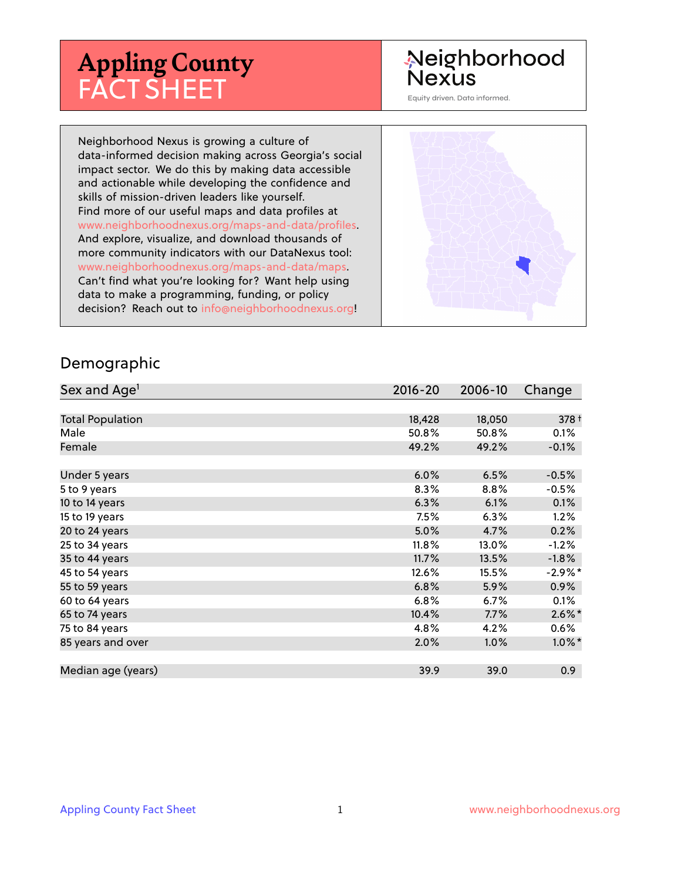# **Appling County** FACT SHEET

#### Neighborhood Nexus

Equity driven. Data informed.

Neighborhood Nexus is growing a culture of data-informed decision making across Georgia's social impact sector. We do this by making data accessible and actionable while developing the confidence and skills of mission-driven leaders like yourself. Find more of our useful maps and data profiles at www.neighborhoodnexus.org/maps-and-data/profiles. And explore, visualize, and download thousands of more community indicators with our DataNexus tool: www.neighborhoodnexus.org/maps-and-data/maps. Can't find what you're looking for? Want help using data to make a programming, funding, or policy decision? Reach out to [info@neighborhoodnexus.org!](mailto:info@neighborhoodnexus.org)



#### Demographic

| Sex and Age <sup>1</sup> | $2016 - 20$ | 2006-10 | Change     |
|--------------------------|-------------|---------|------------|
|                          |             |         |            |
| <b>Total Population</b>  | 18,428      | 18,050  | $378 +$    |
| Male                     | 50.8%       | 50.8%   | 0.1%       |
| Female                   | 49.2%       | 49.2%   | $-0.1\%$   |
|                          |             |         |            |
| Under 5 years            | 6.0%        | 6.5%    | $-0.5%$    |
| 5 to 9 years             | 8.3%        | 8.8%    | $-0.5%$    |
| 10 to 14 years           | 6.3%        | 6.1%    | 0.1%       |
| 15 to 19 years           | 7.5%        | 6.3%    | 1.2%       |
| 20 to 24 years           | 5.0%        | 4.7%    | 0.2%       |
| 25 to 34 years           | 11.8%       | 13.0%   | $-1.2%$    |
| 35 to 44 years           | 11.7%       | 13.5%   | $-1.8%$    |
| 45 to 54 years           | 12.6%       | 15.5%   | $-2.9\%$ * |
| 55 to 59 years           | 6.8%        | 5.9%    | $0.9\%$    |
| 60 to 64 years           | 6.8%        | 6.7%    | 0.1%       |
| 65 to 74 years           | 10.4%       | 7.7%    | $2.6\%$ *  |
| 75 to 84 years           | 4.8%        | 4.2%    | $0.6\%$    |
| 85 years and over        | 2.0%        | 1.0%    | $1.0\%$ *  |
|                          |             |         |            |
| Median age (years)       | 39.9        | 39.0    | 0.9        |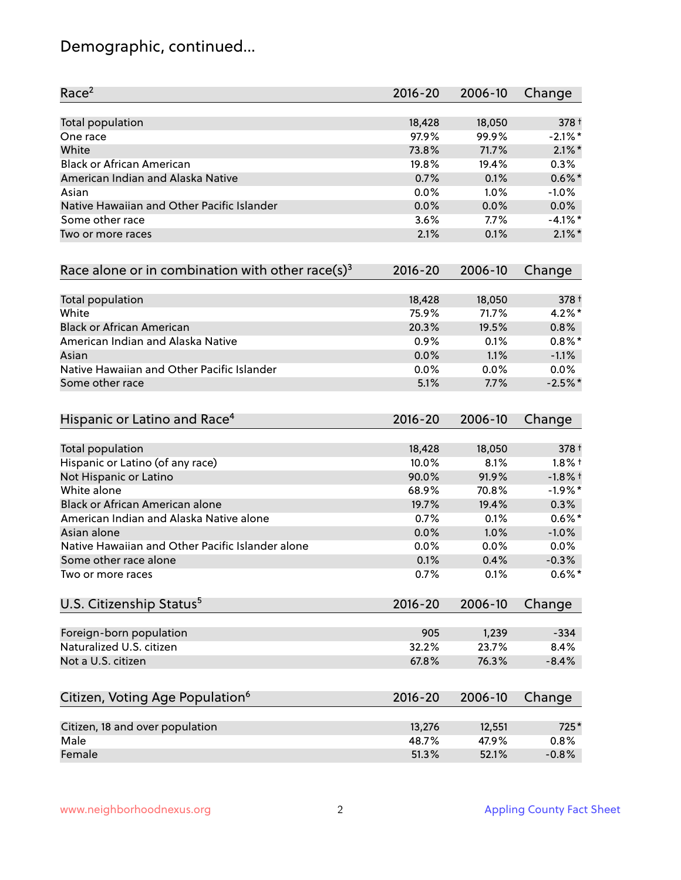## Demographic, continued...

| Race <sup>2</sup>                                            | $2016 - 20$ | 2006-10 | Change     |
|--------------------------------------------------------------|-------------|---------|------------|
| <b>Total population</b>                                      | 18,428      | 18,050  | 378 +      |
| One race                                                     | 97.9%       | 99.9%   | $-2.1\%$ * |
| White                                                        | 73.8%       | 71.7%   | $2.1\%$ *  |
| <b>Black or African American</b>                             | 19.8%       | 19.4%   | 0.3%       |
| American Indian and Alaska Native                            | 0.7%        | 0.1%    | $0.6\%$ *  |
| Asian                                                        | 0.0%        | $1.0\%$ | $-1.0%$    |
| Native Hawaiian and Other Pacific Islander                   | 0.0%        | 0.0%    | 0.0%       |
| Some other race                                              | 3.6%        | 7.7%    | $-4.1%$ *  |
| Two or more races                                            | 2.1%        | 0.1%    | $2.1\%$ *  |
| Race alone or in combination with other race(s) <sup>3</sup> | $2016 - 20$ | 2006-10 | Change     |
| Total population                                             | 18,428      | 18,050  | 378 +      |
| White                                                        | 75.9%       | 71.7%   | $4.2%$ *   |
| <b>Black or African American</b>                             | 20.3%       | 19.5%   | 0.8%       |
| American Indian and Alaska Native                            | 0.9%        | 0.1%    | $0.8\%$ *  |
| Asian                                                        | 0.0%        | 1.1%    | $-1.1%$    |
| Native Hawaiian and Other Pacific Islander                   | 0.0%        | 0.0%    | 0.0%       |
| Some other race                                              | 5.1%        | 7.7%    | $-2.5%$ *  |
| Hispanic or Latino and Race <sup>4</sup>                     | $2016 - 20$ | 2006-10 | Change     |
| <b>Total population</b>                                      | 18,428      | 18,050  | 378 +      |
| Hispanic or Latino (of any race)                             | 10.0%       | 8.1%    | $1.8\%$ †  |
| Not Hispanic or Latino                                       | 90.0%       | 91.9%   | $-1.8%$ †  |
| White alone                                                  | 68.9%       | 70.8%   | $-1.9%$ *  |
| Black or African American alone                              | 19.7%       | 19.4%   | 0.3%       |
| American Indian and Alaska Native alone                      | 0.7%        | 0.1%    | $0.6\%$ *  |
| Asian alone                                                  | 0.0%        | 1.0%    | $-1.0%$    |
| Native Hawaiian and Other Pacific Islander alone             | 0.0%        | 0.0%    | 0.0%       |
| Some other race alone                                        | 0.1%        | 0.4%    | $-0.3%$    |
| Two or more races                                            | 0.7%        | 0.1%    | $0.6\%$ *  |
| U.S. Citizenship Status <sup>5</sup>                         | $2016 - 20$ | 2006-10 | Change     |
| Foreign-born population                                      | 905         | 1,239   | $-334$     |
| Naturalized U.S. citizen                                     | 32.2%       | 23.7%   | 8.4%       |
| Not a U.S. citizen                                           | 67.8%       | 76.3%   | $-8.4%$    |
| Citizen, Voting Age Population <sup>6</sup>                  | $2016 - 20$ | 2006-10 | Change     |
| Citizen, 18 and over population                              | 13,276      | 12,551  | 725*       |
| Male                                                         | 48.7%       | 47.9%   | 0.8%       |
| Female                                                       | 51.3%       | 52.1%   | $-0.8%$    |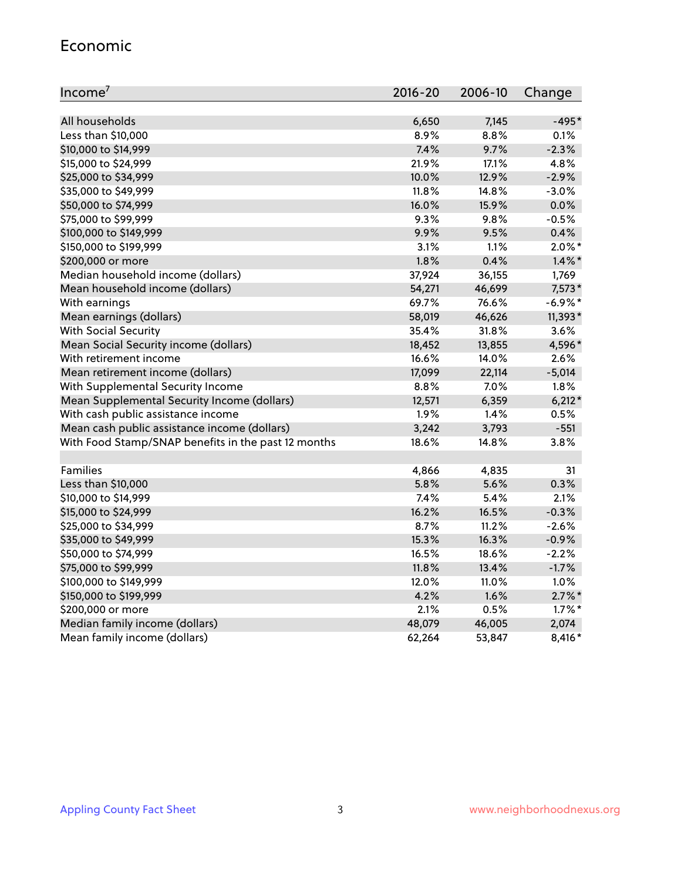#### Economic

| Income <sup>7</sup>                                 | $2016 - 20$ | 2006-10 | Change     |
|-----------------------------------------------------|-------------|---------|------------|
|                                                     |             |         |            |
| All households                                      | 6,650       | 7,145   | $-495*$    |
| Less than \$10,000                                  | 8.9%        | 8.8%    | 0.1%       |
| \$10,000 to \$14,999                                | 7.4%        | 9.7%    | $-2.3%$    |
| \$15,000 to \$24,999                                | 21.9%       | 17.1%   | 4.8%       |
| \$25,000 to \$34,999                                | 10.0%       | 12.9%   | $-2.9%$    |
| \$35,000 to \$49,999                                | 11.8%       | 14.8%   | $-3.0%$    |
| \$50,000 to \$74,999                                | 16.0%       | 15.9%   | 0.0%       |
| \$75,000 to \$99,999                                | 9.3%        | 9.8%    | $-0.5%$    |
| \$100,000 to \$149,999                              | 9.9%        | 9.5%    | 0.4%       |
| \$150,000 to \$199,999                              | 3.1%        | 1.1%    | $2.0\%$ *  |
| \$200,000 or more                                   | 1.8%        | 0.4%    | $1.4\%$ *  |
| Median household income (dollars)                   | 37,924      | 36,155  | 1,769      |
| Mean household income (dollars)                     | 54,271      | 46,699  | $7,573*$   |
| With earnings                                       | 69.7%       | 76.6%   | $-6.9\%$ * |
| Mean earnings (dollars)                             | 58,019      | 46,626  | 11,393*    |
| <b>With Social Security</b>                         | 35.4%       | 31.8%   | 3.6%       |
| Mean Social Security income (dollars)               | 18,452      | 13,855  | 4,596*     |
| With retirement income                              | 16.6%       | 14.0%   | 2.6%       |
| Mean retirement income (dollars)                    | 17,099      | 22,114  | $-5,014$   |
| With Supplemental Security Income                   | 8.8%        | 7.0%    | 1.8%       |
| Mean Supplemental Security Income (dollars)         | 12,571      | 6,359   | $6,212*$   |
| With cash public assistance income                  | 1.9%        | 1.4%    | 0.5%       |
| Mean cash public assistance income (dollars)        | 3,242       | 3,793   | $-551$     |
| With Food Stamp/SNAP benefits in the past 12 months | 18.6%       | 14.8%   | 3.8%       |
|                                                     |             |         |            |
| Families                                            | 4,866       | 4,835   | 31         |
| Less than \$10,000                                  | 5.8%        | 5.6%    | 0.3%       |
| \$10,000 to \$14,999                                | 7.4%        | 5.4%    | 2.1%       |
| \$15,000 to \$24,999                                | 16.2%       | 16.5%   | $-0.3%$    |
| \$25,000 to \$34,999                                | 8.7%        | 11.2%   | $-2.6%$    |
| \$35,000 to \$49,999                                | 15.3%       | 16.3%   | $-0.9%$    |
| \$50,000 to \$74,999                                | 16.5%       | 18.6%   | $-2.2%$    |
| \$75,000 to \$99,999                                | 11.8%       | 13.4%   | $-1.7%$    |
| \$100,000 to \$149,999                              | 12.0%       | 11.0%   | 1.0%       |
| \$150,000 to \$199,999                              | 4.2%        | 1.6%    | $2.7\%$ *  |
| \$200,000 or more                                   | 2.1%        | 0.5%    | $1.7\%$ *  |
| Median family income (dollars)                      | 48,079      | 46,005  | 2,074      |
| Mean family income (dollars)                        | 62,264      | 53,847  | 8,416*     |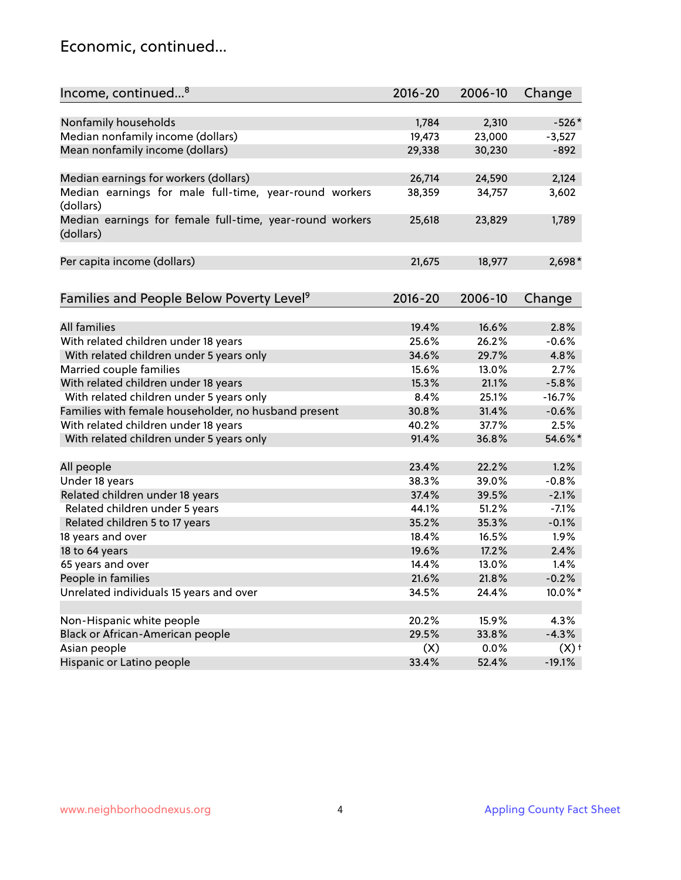#### Economic, continued...

| Income, continued <sup>8</sup>                           | 2016-20 | 2006-10 | Change             |
|----------------------------------------------------------|---------|---------|--------------------|
|                                                          |         |         |                    |
| Nonfamily households                                     | 1,784   | 2,310   | $-526*$            |
| Median nonfamily income (dollars)                        | 19,473  | 23,000  | $-3,527$           |
| Mean nonfamily income (dollars)                          | 29,338  | 30,230  | $-892$             |
|                                                          |         |         |                    |
| Median earnings for workers (dollars)                    | 26,714  | 24,590  | 2,124              |
| Median earnings for male full-time, year-round workers   | 38,359  | 34,757  | 3,602              |
| (dollars)                                                |         |         |                    |
| Median earnings for female full-time, year-round workers | 25,618  | 23,829  | 1,789              |
| (dollars)                                                |         |         |                    |
|                                                          |         |         |                    |
| Per capita income (dollars)                              | 21,675  | 18,977  | $2,698*$           |
|                                                          |         |         |                    |
| Families and People Below Poverty Level <sup>9</sup>     | 2016-20 | 2006-10 | Change             |
|                                                          |         |         |                    |
| <b>All families</b>                                      | 19.4%   | 16.6%   | 2.8%               |
| With related children under 18 years                     | 25.6%   | 26.2%   | $-0.6%$            |
| With related children under 5 years only                 | 34.6%   | 29.7%   | 4.8%               |
| Married couple families                                  | 15.6%   | 13.0%   | 2.7%               |
| With related children under 18 years                     | 15.3%   | 21.1%   | $-5.8%$            |
| With related children under 5 years only                 | 8.4%    | 25.1%   | $-16.7%$           |
| Families with female householder, no husband present     | 30.8%   | 31.4%   | $-0.6%$            |
| With related children under 18 years                     | 40.2%   | 37.7%   | 2.5%               |
| With related children under 5 years only                 | 91.4%   | 36.8%   | 54.6%*             |
|                                                          |         |         |                    |
| All people                                               | 23.4%   | 22.2%   | 1.2%               |
| Under 18 years                                           | 38.3%   | 39.0%   | $-0.8%$            |
| Related children under 18 years                          | 37.4%   | 39.5%   | $-2.1%$            |
| Related children under 5 years                           | 44.1%   | 51.2%   | $-7.1%$            |
| Related children 5 to 17 years                           | 35.2%   | 35.3%   | $-0.1%$            |
| 18 years and over                                        | 18.4%   | 16.5%   | 1.9%               |
| 18 to 64 years                                           | 19.6%   | 17.2%   | 2.4%               |
| 65 years and over                                        | 14.4%   | 13.0%   | 1.4%               |
| People in families                                       | 21.6%   | 21.8%   | $-0.2%$            |
| Unrelated individuals 15 years and over                  | 34.5%   | 24.4%   | 10.0%*             |
|                                                          |         |         |                    |
| Non-Hispanic white people                                | 20.2%   | 15.9%   | 4.3%               |
| Black or African-American people                         | 29.5%   | 33.8%   | $-4.3%$            |
| Asian people                                             | (X)     | 0.0%    | $(X)$ <sup>+</sup> |
| Hispanic or Latino people                                | 33.4%   | 52.4%   | $-19.1%$           |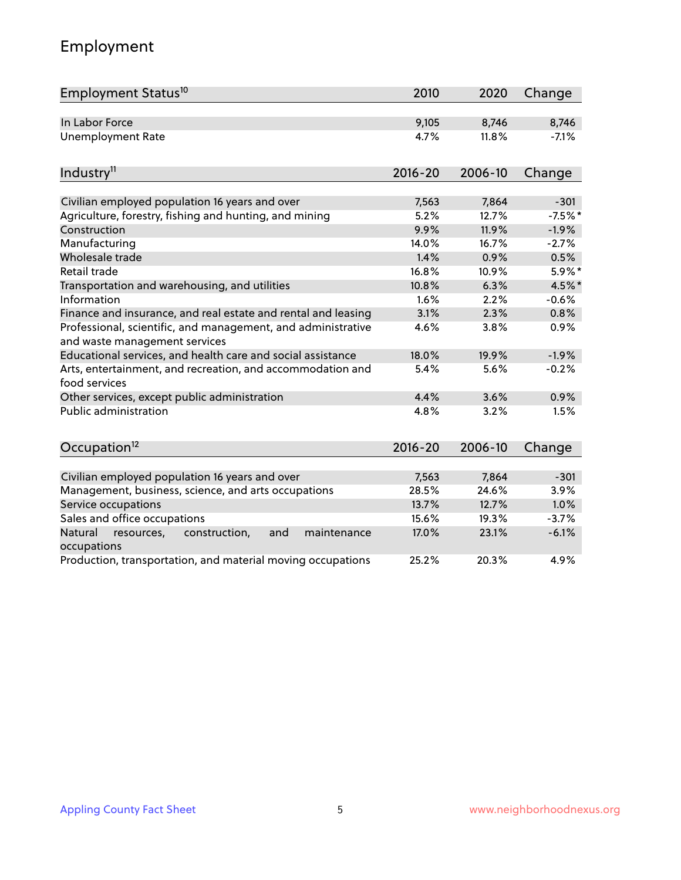# Employment

| Employment Status <sup>10</sup>                                                               | 2010        | 2020    | Change    |
|-----------------------------------------------------------------------------------------------|-------------|---------|-----------|
| In Labor Force                                                                                | 9,105       | 8,746   | 8,746     |
| <b>Unemployment Rate</b>                                                                      | 4.7%        | 11.8%   | $-7.1%$   |
| Industry <sup>11</sup>                                                                        | $2016 - 20$ | 2006-10 | Change    |
| Civilian employed population 16 years and over                                                | 7,563       | 7,864   | $-301$    |
| Agriculture, forestry, fishing and hunting, and mining                                        | 5.2%        | 12.7%   | $-7.5%$ * |
| Construction                                                                                  | 9.9%        | 11.9%   | $-1.9%$   |
| Manufacturing                                                                                 | 14.0%       | 16.7%   | $-2.7%$   |
| Wholesale trade                                                                               | 1.4%        | 0.9%    | 0.5%      |
| Retail trade                                                                                  | 16.8%       | 10.9%   | 5.9%*     |
| Transportation and warehousing, and utilities                                                 | 10.8%       | 6.3%    | 4.5%*     |
| Information                                                                                   | 1.6%        | 2.2%    | $-0.6%$   |
| Finance and insurance, and real estate and rental and leasing                                 | 3.1%        | 2.3%    | 0.8%      |
| Professional, scientific, and management, and administrative<br>and waste management services | 4.6%        | 3.8%    | 0.9%      |
| Educational services, and health care and social assistance                                   | 18.0%       | 19.9%   | $-1.9%$   |
| Arts, entertainment, and recreation, and accommodation and<br>food services                   | 5.4%        | 5.6%    | $-0.2%$   |
| Other services, except public administration                                                  | 4.4%        | 3.6%    | 0.9%      |
| Public administration                                                                         | 4.8%        | 3.2%    | 1.5%      |
| Occupation <sup>12</sup>                                                                      | $2016 - 20$ | 2006-10 | Change    |
|                                                                                               |             |         |           |
| Civilian employed population 16 years and over                                                | 7,563       | 7,864   | $-301$    |
| Management, business, science, and arts occupations                                           | 28.5%       | 24.6%   | 3.9%      |
| Service occupations                                                                           | 13.7%       | 12.7%   | 1.0%      |
| Sales and office occupations                                                                  | 15.6%       | 19.3%   | $-3.7%$   |
| Natural<br>and<br>maintenance<br>resources,<br>construction,<br>occupations                   | 17.0%       | 23.1%   | $-6.1%$   |
| Production, transportation, and material moving occupations                                   | 25.2%       | 20.3%   | 4.9%      |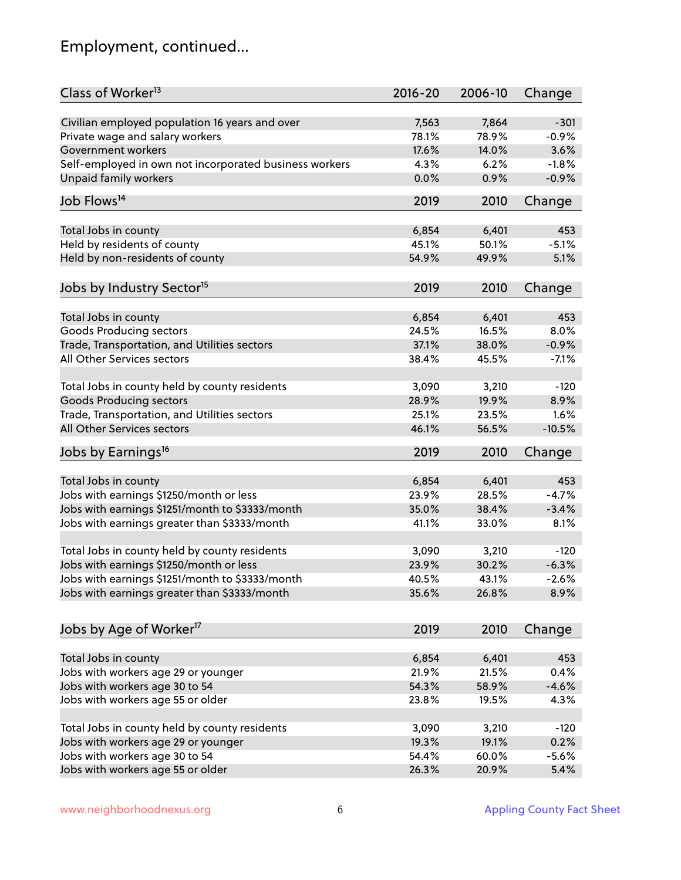## Employment, continued...

| Class of Worker <sup>13</sup>                          | $2016 - 20$ | 2006-10 | Change   |
|--------------------------------------------------------|-------------|---------|----------|
| Civilian employed population 16 years and over         | 7,563       | 7,864   | $-301$   |
| Private wage and salary workers                        | 78.1%       | 78.9%   | $-0.9%$  |
| Government workers                                     | 17.6%       | 14.0%   | 3.6%     |
| Self-employed in own not incorporated business workers | 4.3%        | 6.2%    | $-1.8%$  |
| <b>Unpaid family workers</b>                           | 0.0%        | 0.9%    | $-0.9%$  |
|                                                        |             |         |          |
| Job Flows <sup>14</sup>                                | 2019        | 2010    | Change   |
| Total Jobs in county                                   | 6,854       | 6,401   | 453      |
| Held by residents of county                            | 45.1%       | 50.1%   | $-5.1%$  |
| Held by non-residents of county                        | 54.9%       | 49.9%   | 5.1%     |
|                                                        |             |         |          |
| Jobs by Industry Sector <sup>15</sup>                  | 2019        | 2010    | Change   |
| Total Jobs in county                                   | 6,854       | 6,401   | 453      |
| Goods Producing sectors                                | 24.5%       | 16.5%   | 8.0%     |
| Trade, Transportation, and Utilities sectors           | 37.1%       | 38.0%   | $-0.9%$  |
| All Other Services sectors                             | 38.4%       | 45.5%   | $-7.1%$  |
|                                                        |             |         |          |
| Total Jobs in county held by county residents          | 3,090       | 3,210   | $-120$   |
| <b>Goods Producing sectors</b>                         | 28.9%       | 19.9%   | 8.9%     |
| Trade, Transportation, and Utilities sectors           | 25.1%       | 23.5%   | 1.6%     |
| All Other Services sectors                             | 46.1%       | 56.5%   | $-10.5%$ |
| Jobs by Earnings <sup>16</sup>                         | 2019        | 2010    | Change   |
|                                                        |             |         |          |
| Total Jobs in county                                   | 6,854       | 6,401   | 453      |
| Jobs with earnings \$1250/month or less                | 23.9%       | 28.5%   | $-4.7%$  |
| Jobs with earnings \$1251/month to \$3333/month        | 35.0%       | 38.4%   | $-3.4%$  |
| Jobs with earnings greater than \$3333/month           | 41.1%       | 33.0%   | 8.1%     |
| Total Jobs in county held by county residents          | 3,090       | 3,210   | $-120$   |
| Jobs with earnings \$1250/month or less                | 23.9%       | 30.2%   | $-6.3%$  |
| Jobs with earnings \$1251/month to \$3333/month        | 40.5%       | 43.1%   | $-2.6\%$ |
| Jobs with earnings greater than \$3333/month           | 35.6%       | 26.8%   | 8.9%     |
|                                                        |             |         |          |
| Jobs by Age of Worker <sup>17</sup>                    | 2019        | 2010    | Change   |
|                                                        |             |         |          |
| Total Jobs in county                                   | 6,854       | 6,401   | 453      |
| Jobs with workers age 29 or younger                    | 21.9%       | 21.5%   | 0.4%     |
| Jobs with workers age 30 to 54                         | 54.3%       | 58.9%   | $-4.6%$  |
| Jobs with workers age 55 or older                      | 23.8%       | 19.5%   | 4.3%     |
| Total Jobs in county held by county residents          | 3,090       | 3,210   | $-120$   |
| Jobs with workers age 29 or younger                    | 19.3%       | 19.1%   | 0.2%     |
| Jobs with workers age 30 to 54                         | 54.4%       | 60.0%   | $-5.6\%$ |
| Jobs with workers age 55 or older                      | 26.3%       | 20.9%   | 5.4%     |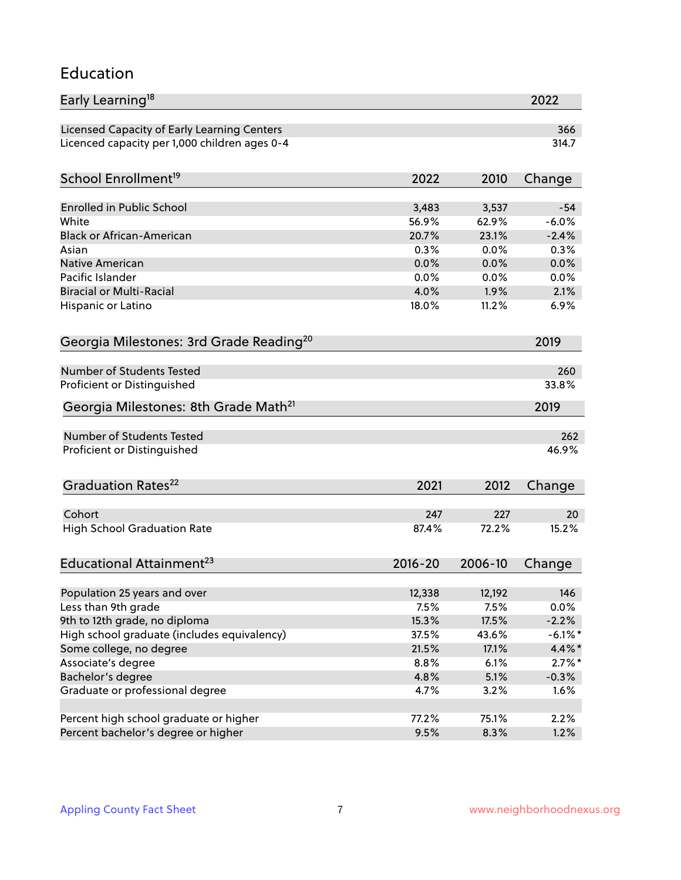#### Education

| Early Learning <sup>18</sup>                        |             |         | 2022       |
|-----------------------------------------------------|-------------|---------|------------|
| Licensed Capacity of Early Learning Centers         |             |         | 366        |
| Licenced capacity per 1,000 children ages 0-4       |             |         | 314.7      |
| School Enrollment <sup>19</sup>                     | 2022        | 2010    | Change     |
|                                                     |             |         |            |
| <b>Enrolled in Public School</b>                    | 3,483       | 3,537   | $-54$      |
| White                                               | 56.9%       | 62.9%   | $-6.0%$    |
| <b>Black or African-American</b>                    | 20.7%       | 23.1%   | $-2.4%$    |
| Asian                                               | 0.3%        | 0.0%    | 0.3%       |
| Native American                                     | 0.0%        | 0.0%    | 0.0%       |
| Pacific Islander                                    | 0.0%        | 0.0%    | 0.0%       |
| <b>Biracial or Multi-Racial</b>                     | 4.0%        | 1.9%    | 2.1%       |
| Hispanic or Latino                                  | 18.0%       | 11.2%   | 6.9%       |
| Georgia Milestones: 3rd Grade Reading <sup>20</sup> |             |         | 2019       |
|                                                     |             |         |            |
| Number of Students Tested                           |             |         | 260        |
| Proficient or Distinguished                         |             |         | 33.8%      |
| Georgia Milestones: 8th Grade Math <sup>21</sup>    |             |         | 2019       |
| <b>Number of Students Tested</b>                    |             |         | 262        |
| Proficient or Distinguished                         |             |         | 46.9%      |
| Graduation Rates <sup>22</sup>                      | 2021        | 2012    | Change     |
|                                                     |             |         |            |
| Cohort                                              | 247         | 227     | 20         |
| <b>High School Graduation Rate</b>                  | 87.4%       | 72.2%   | 15.2%      |
| Educational Attainment <sup>23</sup>                | $2016 - 20$ | 2006-10 | Change     |
|                                                     |             |         |            |
| Population 25 years and over                        | 12,338      | 12,192  | 146        |
| Less than 9th grade                                 | 7.5%        | 7.5%    | 0.0%       |
| 9th to 12th grade, no diploma                       | 15.3%       | 17.5%   | $-2.2%$    |
| High school graduate (includes equivalency)         | 37.5%       | 43.6%   | $-6.1\%$ * |
| Some college, no degree                             | 21.5%       | 17.1%   | $4.4\%$ *  |
| Associate's degree                                  | 8.8%        | 6.1%    | $2.7\%$ *  |
| Bachelor's degree                                   | 4.8%        | 5.1%    | $-0.3%$    |
| Graduate or professional degree                     | 4.7%        | 3.2%    | 1.6%       |
|                                                     |             |         |            |
| Percent high school graduate or higher              | 77.2%       | 75.1%   | 2.2%       |
| Percent bachelor's degree or higher                 | 9.5%        | 8.3%    | 1.2%       |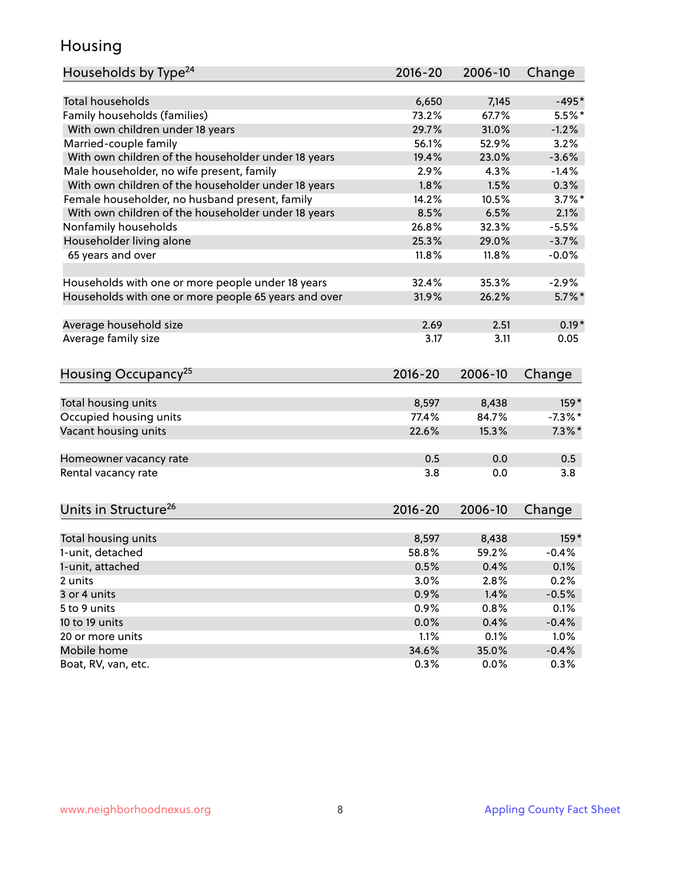#### Housing

| Households by Type <sup>24</sup>                     | 2016-20     | 2006-10 | Change     |
|------------------------------------------------------|-------------|---------|------------|
|                                                      |             |         |            |
| <b>Total households</b>                              | 6,650       | 7,145   | $-495*$    |
| Family households (families)                         | 73.2%       | 67.7%   | $5.5%$ *   |
| With own children under 18 years                     | 29.7%       | 31.0%   | $-1.2%$    |
| Married-couple family                                | 56.1%       | 52.9%   | 3.2%       |
| With own children of the householder under 18 years  | 19.4%       | 23.0%   | $-3.6%$    |
| Male householder, no wife present, family            | 2.9%        | 4.3%    | $-1.4%$    |
| With own children of the householder under 18 years  | 1.8%        | 1.5%    | 0.3%       |
| Female householder, no husband present, family       | 14.2%       | 10.5%   | $3.7\%$ *  |
| With own children of the householder under 18 years  | 8.5%        | 6.5%    | 2.1%       |
| Nonfamily households                                 | 26.8%       | 32.3%   | $-5.5%$    |
| Householder living alone                             | 25.3%       | 29.0%   | $-3.7%$    |
| 65 years and over                                    | 11.8%       | 11.8%   | $-0.0%$    |
| Households with one or more people under 18 years    | 32.4%       | 35.3%   | $-2.9%$    |
| Households with one or more people 65 years and over | 31.9%       | 26.2%   | $5.7\%$ *  |
|                                                      |             |         |            |
| Average household size                               | 2.69        | 2.51    | $0.19*$    |
| Average family size                                  | 3.17        | 3.11    | 0.05       |
| Housing Occupancy <sup>25</sup>                      | 2016-20     | 2006-10 | Change     |
|                                                      |             |         |            |
| Total housing units                                  | 8,597       | 8,438   | 159*       |
| Occupied housing units                               | 77.4%       | 84.7%   | $-7.3\%$ * |
| Vacant housing units                                 | 22.6%       | 15.3%   | $7.3\%$ *  |
|                                                      |             |         |            |
| Homeowner vacancy rate                               | 0.5         | 0.0     | 0.5        |
| Rental vacancy rate                                  | 3.8         | 0.0     | 3.8        |
|                                                      |             |         |            |
| Units in Structure <sup>26</sup>                     | $2016 - 20$ | 2006-10 | Change     |
| Total housing units                                  | 8,597       | 8,438   | $159*$     |
| 1-unit, detached                                     | 58.8%       | 59.2%   | $-0.4%$    |
| 1-unit, attached                                     | 0.5%        | 0.4%    | 0.1%       |
|                                                      | 3.0%        | 2.8%    | 0.2%       |
| 2 units<br>3 or 4 units                              | 0.9%        | 1.4%    | $-0.5%$    |
| 5 to 9 units                                         |             |         |            |
|                                                      | 0.9%        | 0.8%    | 0.1%       |
| 10 to 19 units                                       | 0.0%        | 0.4%    | $-0.4%$    |
| 20 or more units                                     | 1.1%        | 0.1%    | 1.0%       |
| Mobile home                                          | 34.6%       | 35.0%   | $-0.4%$    |
| Boat, RV, van, etc.                                  | 0.3%        | 0.0%    | 0.3%       |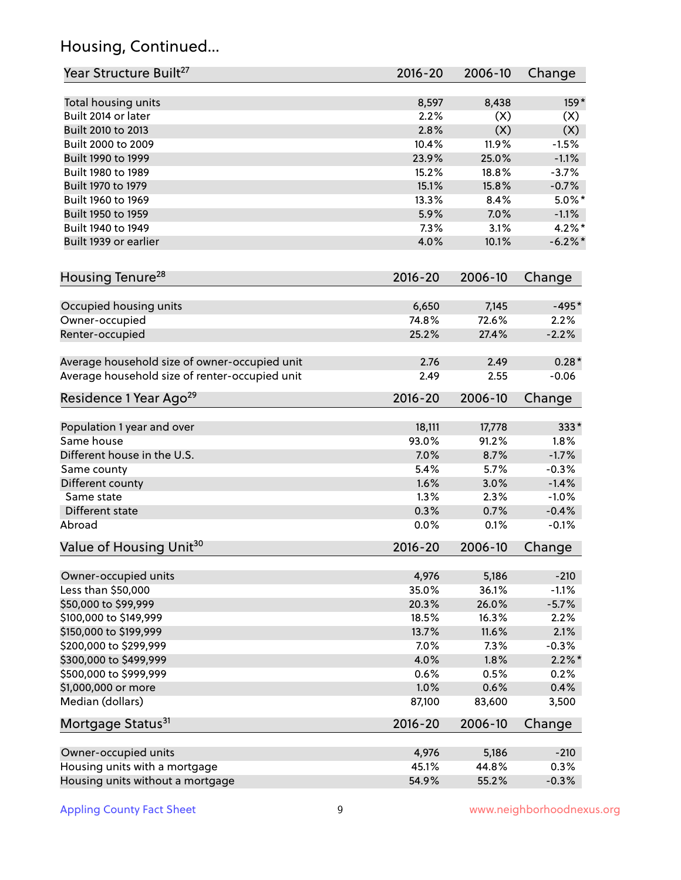## Housing, Continued...

| Year Structure Built <sup>27</sup>             | 2016-20     | 2006-10 | Change     |
|------------------------------------------------|-------------|---------|------------|
| Total housing units                            | 8,597       | 8,438   | $159*$     |
| Built 2014 or later                            | 2.2%        | (X)     | (X)        |
| Built 2010 to 2013                             | 2.8%        | (X)     | (X)        |
| Built 2000 to 2009                             | 10.4%       | 11.9%   | $-1.5%$    |
| Built 1990 to 1999                             | 23.9%       | 25.0%   | $-1.1%$    |
| Built 1980 to 1989                             | 15.2%       | 18.8%   | $-3.7%$    |
| Built 1970 to 1979                             | 15.1%       | 15.8%   | $-0.7%$    |
| Built 1960 to 1969                             | 13.3%       | 8.4%    | $5.0\%$ *  |
| Built 1950 to 1959                             | 5.9%        | 7.0%    | $-1.1%$    |
| Built 1940 to 1949                             | 7.3%        | 3.1%    | $4.2\%$ *  |
| Built 1939 or earlier                          | 4.0%        | 10.1%   | $-6.2\%$ * |
| Housing Tenure <sup>28</sup>                   | $2016 - 20$ | 2006-10 | Change     |
| Occupied housing units                         | 6,650       | 7,145   | $-495*$    |
| Owner-occupied                                 | 74.8%       | 72.6%   | 2.2%       |
| Renter-occupied                                | 25.2%       | 27.4%   | $-2.2%$    |
| Average household size of owner-occupied unit  | 2.76        | 2.49    | $0.28*$    |
| Average household size of renter-occupied unit | 2.49        | 2.55    | $-0.06$    |
| Residence 1 Year Ago <sup>29</sup>             | 2016-20     | 2006-10 | Change     |
| Population 1 year and over                     | 18,111      | 17,778  | 333*       |
| Same house                                     | 93.0%       | 91.2%   | 1.8%       |
| Different house in the U.S.                    | 7.0%        | 8.7%    | $-1.7%$    |
| Same county                                    | 5.4%        | 5.7%    | $-0.3%$    |
| Different county                               | 1.6%        | 3.0%    | $-1.4%$    |
| Same state                                     | 1.3%        | 2.3%    | $-1.0%$    |
| Different state                                | 0.3%        | 0.7%    | $-0.4%$    |
| Abroad                                         | 0.0%        | 0.1%    | $-0.1%$    |
| Value of Housing Unit <sup>30</sup>            | $2016 - 20$ | 2006-10 | Change     |
| Owner-occupied units                           | 4,976       | 5,186   | $-210$     |
| Less than \$50,000                             | 35.0%       | 36.1%   | $-1.1%$    |
| \$50,000 to \$99,999                           | 20.3%       | 26.0%   | $-5.7%$    |
| \$100,000 to \$149,999                         | 18.5%       | 16.3%   | 2.2%       |
| \$150,000 to \$199,999                         | 13.7%       | 11.6%   | 2.1%       |
| \$200,000 to \$299,999                         | 7.0%        | 7.3%    | $-0.3%$    |
| \$300,000 to \$499,999                         | 4.0%        | 1.8%    | $2.2\%$ *  |
| \$500,000 to \$999,999                         | 0.6%        | 0.5%    | 0.2%       |
| \$1,000,000 or more                            | 1.0%        | 0.6%    | 0.4%       |
| Median (dollars)                               | 87,100      | 83,600  | 3,500      |
| Mortgage Status <sup>31</sup>                  | $2016 - 20$ | 2006-10 | Change     |
| Owner-occupied units                           | 4,976       | 5,186   | $-210$     |
| Housing units with a mortgage                  | 45.1%       | 44.8%   | 0.3%       |
| Housing units without a mortgage               | 54.9%       | 55.2%   | $-0.3%$    |
|                                                |             |         |            |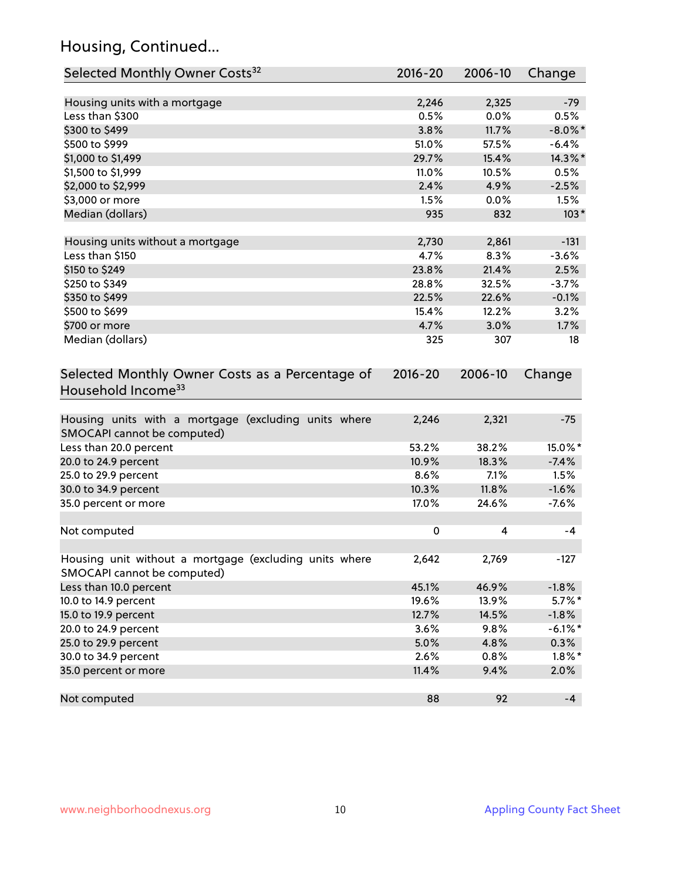## Housing, Continued...

| Selected Monthly Owner Costs <sup>32</sup>                                            | 2016-20     | 2006-10 | Change     |
|---------------------------------------------------------------------------------------|-------------|---------|------------|
| Housing units with a mortgage                                                         | 2,246       | 2,325   | $-79$      |
| Less than \$300                                                                       | 0.5%        | 0.0%    | 0.5%       |
| \$300 to \$499                                                                        | 3.8%        | 11.7%   | $-8.0\%$ * |
| \$500 to \$999                                                                        | 51.0%       | 57.5%   | $-6.4%$    |
| \$1,000 to \$1,499                                                                    | 29.7%       | 15.4%   | 14.3%*     |
| \$1,500 to \$1,999                                                                    | 11.0%       | 10.5%   | 0.5%       |
| \$2,000 to \$2,999                                                                    | 2.4%        | 4.9%    | $-2.5%$    |
| \$3,000 or more                                                                       | 1.5%        | 0.0%    | 1.5%       |
| Median (dollars)                                                                      | 935         | 832     | $103*$     |
|                                                                                       |             |         |            |
| Housing units without a mortgage                                                      | 2,730       | 2,861   | $-131$     |
| Less than \$150                                                                       | 4.7%        | 8.3%    | $-3.6%$    |
| \$150 to \$249                                                                        | 23.8%       | 21.4%   | 2.5%       |
| \$250 to \$349                                                                        | 28.8%       | 32.5%   | $-3.7%$    |
| \$350 to \$499                                                                        | 22.5%       | 22.6%   | $-0.1%$    |
| \$500 to \$699                                                                        | 15.4%       | 12.2%   | 3.2%       |
| \$700 or more                                                                         | 4.7%        | 3.0%    | 1.7%       |
| Median (dollars)                                                                      | 325         | 307     | 18         |
| Selected Monthly Owner Costs as a Percentage of<br>Household Income <sup>33</sup>     | $2016 - 20$ | 2006-10 | Change     |
| Housing units with a mortgage (excluding units where<br>SMOCAPI cannot be computed)   | 2,246       | 2,321   | $-75$      |
| Less than 20.0 percent                                                                | 53.2%       | 38.2%   | 15.0%*     |
| 20.0 to 24.9 percent                                                                  | 10.9%       | 18.3%   | $-7.4%$    |
| 25.0 to 29.9 percent                                                                  | 8.6%        | 7.1%    | 1.5%       |
| 30.0 to 34.9 percent                                                                  | 10.3%       | 11.8%   | $-1.6%$    |
| 35.0 percent or more                                                                  | 17.0%       | 24.6%   | $-7.6%$    |
| Not computed                                                                          | $\pmb{0}$   | 4       | $-4$       |
|                                                                                       |             |         |            |
| Housing unit without a mortgage (excluding units where<br>SMOCAPI cannot be computed) | 2,642       | 2,769   | $-127$     |
| Less than 10.0 percent                                                                | 45.1%       | 46.9%   | $-1.8%$    |
| 10.0 to 14.9 percent                                                                  | 19.6%       | 13.9%   | $5.7\%$ *  |
| 15.0 to 19.9 percent                                                                  | 12.7%       | 14.5%   | $-1.8%$    |
| 20.0 to 24.9 percent                                                                  | 3.6%        | 9.8%    | $-6.1\%$ * |
| 25.0 to 29.9 percent                                                                  | 5.0%        | 4.8%    | 0.3%       |
| 30.0 to 34.9 percent                                                                  | 2.6%        | 0.8%    | $1.8\%$ *  |
| 35.0 percent or more                                                                  | 11.4%       | 9.4%    | 2.0%       |
| Not computed                                                                          | 88          | 92      | $-4$       |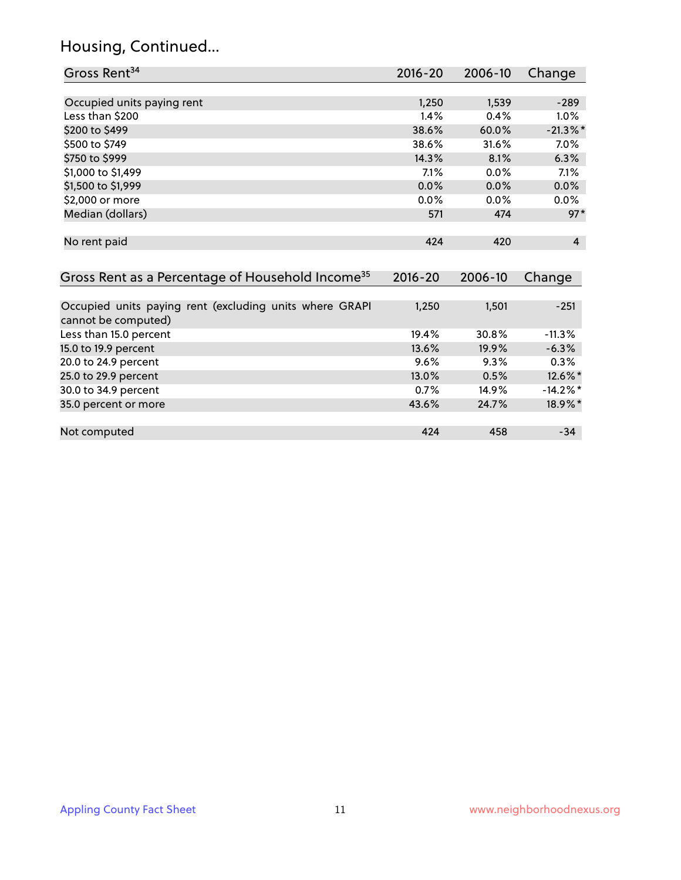#### Housing, Continued...

| Gross Rent <sup>34</sup>                                                       | $2016 - 20$ | 2006-10 | Change         |
|--------------------------------------------------------------------------------|-------------|---------|----------------|
|                                                                                |             |         |                |
| Occupied units paying rent                                                     | 1,250       | 1,539   | $-289$         |
| Less than \$200                                                                | 1.4%        | 0.4%    | $1.0\%$        |
| \$200 to \$499                                                                 | 38.6%       | 60.0%   | $-21.3\%$ *    |
| \$500 to \$749                                                                 | 38.6%       | 31.6%   | $7.0\%$        |
| \$750 to \$999                                                                 | 14.3%       | 8.1%    | 6.3%           |
| \$1,000 to \$1,499                                                             | 7.1%        | $0.0\%$ | 7.1%           |
| \$1,500 to \$1,999                                                             | 0.0%        | 0.0%    | $0.0\%$        |
| \$2,000 or more                                                                | 0.0%        | $0.0\%$ | 0.0%           |
| Median (dollars)                                                               | 571         | 474     | $97*$          |
| No rent paid                                                                   | 424         | 420     | $\overline{4}$ |
| Gross Rent as a Percentage of Household Income <sup>35</sup>                   | $2016 - 20$ | 2006-10 | Change         |
| Occupied units paying rent (excluding units where GRAPI<br>cannot be computed) | 1,250       | 1,501   | $-251$         |
| Less than 15.0 percent                                                         | 19.4%       | 30.8%   | $-11.3%$       |
| 15.0 to 19.9 percent                                                           | 13.6%       | 19.9%   | $-6.3%$        |
| 20.0 to 24.9 percent                                                           | 9.6%        | 9.3%    | 0.3%           |
| 25.0 to 29.9 percent                                                           | 13.0%       | 0.5%    | 12.6%*         |
| 30.0 to 34.9 percent                                                           | 0.7%        | 14.9%   | $-14.2\%$ *    |

and the 34.9 percent of the contract of the contract of the contract of the 30.0 to 34.9 percent of the contra<br>
35.0 percent or more than 18.9%  $\cdot$  18.9%  $\cdot$  18.9%  $\cdot$  18.9%  $\cdot$ 

Not computed and the computed the computed computed and the computed computed and the computed computed and the computed and the computed and the computed and the computed and the computed and the computed and the computed

35.0 percent or more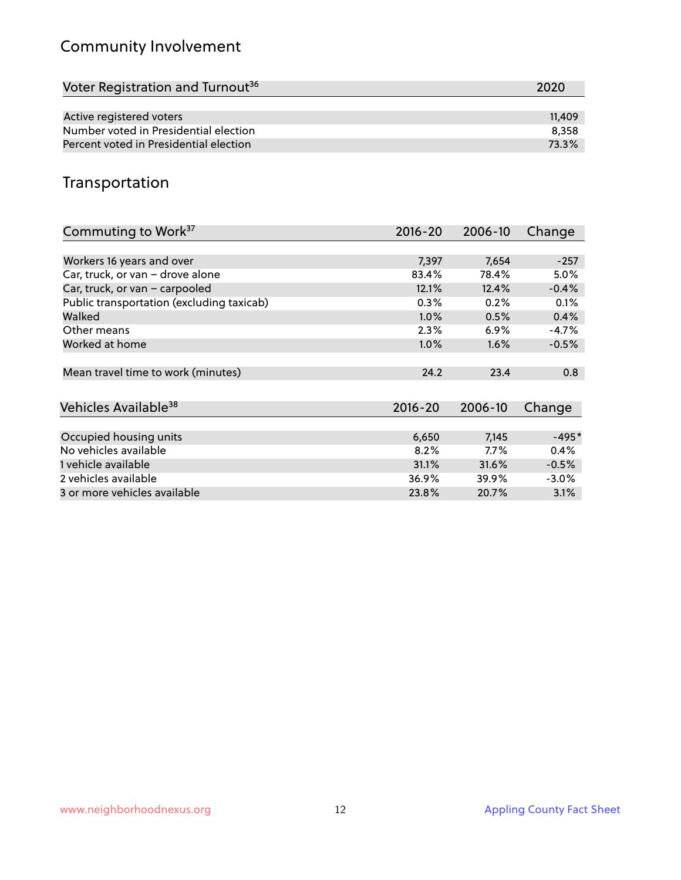## Community Involvement

| Voter Registration and Turnout <sup>36</sup> | 2020   |
|----------------------------------------------|--------|
|                                              |        |
| Active registered voters                     | 11.409 |
| Number voted in Presidential election        | 8.358  |
| Percent voted in Presidential election       | 73.3%  |

#### Transportation

| Commuting to Work <sup>37</sup>           | $2016 - 20$ | 2006-10 | Change  |
|-------------------------------------------|-------------|---------|---------|
|                                           |             |         |         |
| Workers 16 years and over                 | 7,397       | 7,654   | $-257$  |
| Car, truck, or van - drove alone          | 83.4%       | 78.4%   | 5.0%    |
| Car, truck, or van - carpooled            | 12.1%       | 12.4%   | $-0.4%$ |
| Public transportation (excluding taxicab) | 0.3%        | 0.2%    | 0.1%    |
| Walked                                    | $1.0\%$     | 0.5%    | 0.4%    |
| Other means                               | $2.3\%$     | 6.9%    | $-4.7%$ |
| Worked at home                            | $1.0\%$     | $1.6\%$ | $-0.5%$ |
|                                           |             |         |         |
| Mean travel time to work (minutes)        | 24.2        | 23.4    | 0.8     |
|                                           |             |         |         |
| Vehicles Available <sup>38</sup>          | $2016 - 20$ | 2006-10 | Change  |
|                                           |             |         |         |
| Occupied housing units                    | 6,650       | 7,145   | $-495*$ |
| No vehicles available                     | 8.2%        | $7.7\%$ | 0.4%    |
| 1 vehicle available                       | 31.1%       | 31.6%   | $-0.5%$ |
| 2 vehicles available                      | 36.9%       | 39.9%   | $-3.0%$ |
| 3 or more vehicles available              | 23.8%       | 20.7%   | 3.1%    |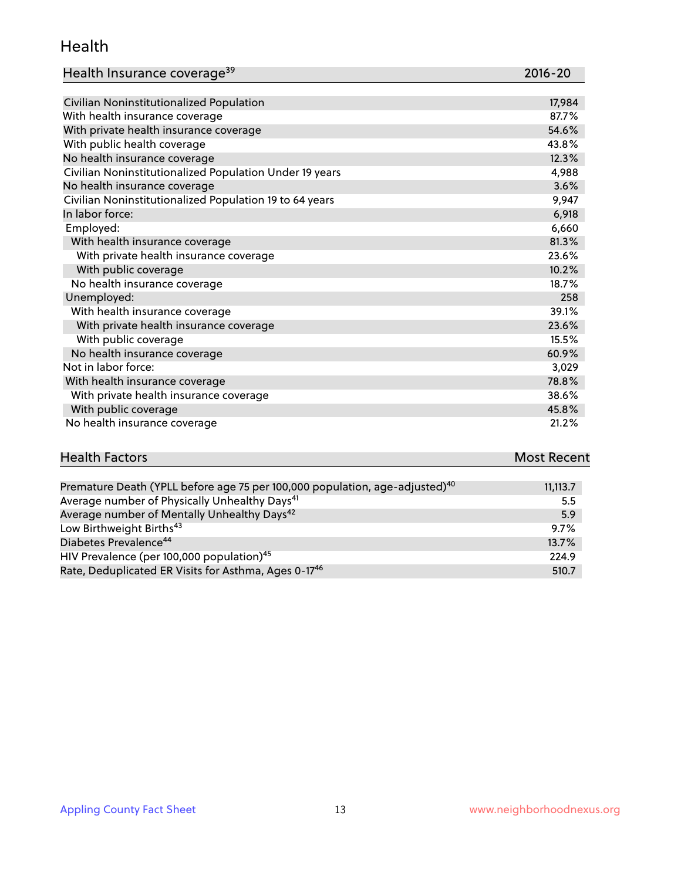#### Health

#### Health Insurance coverage<sup>39</sup> 2016-20 2016-20

| U | ľ | ℩ |
|---|---|---|
|   |   |   |
|   |   |   |

| Civilian Noninstitutionalized Population                | 17,984 |
|---------------------------------------------------------|--------|
| With health insurance coverage                          | 87.7%  |
| With private health insurance coverage                  | 54.6%  |
| With public health coverage                             | 43.8%  |
| No health insurance coverage                            | 12.3%  |
| Civilian Noninstitutionalized Population Under 19 years | 4,988  |
| No health insurance coverage                            | 3.6%   |
| Civilian Noninstitutionalized Population 19 to 64 years | 9,947  |
| In labor force:                                         | 6,918  |
| Employed:                                               | 6,660  |
| With health insurance coverage                          | 81.3%  |
| With private health insurance coverage                  | 23.6%  |
| With public coverage                                    | 10.2%  |
| No health insurance coverage                            | 18.7%  |
| Unemployed:                                             | 258    |
| With health insurance coverage                          | 39.1%  |
| With private health insurance coverage                  | 23.6%  |
| With public coverage                                    | 15.5%  |
| No health insurance coverage                            | 60.9%  |
| Not in labor force:                                     | 3,029  |
| With health insurance coverage                          | 78.8%  |
| With private health insurance coverage                  | 38.6%  |
| With public coverage                                    | 45.8%  |
| No health insurance coverage                            | 21.2%  |

# **Health Factors Most Recent** And The Control of the Control of The Control of The Control of The Control of The Control of The Control of The Control of The Control of The Control of The Control of The Control of The Contr

| Premature Death (YPLL before age 75 per 100,000 population, age-adjusted) <sup>40</sup> | 11,113.7 |
|-----------------------------------------------------------------------------------------|----------|
| Average number of Physically Unhealthy Days <sup>41</sup>                               | 5.5      |
| Average number of Mentally Unhealthy Days <sup>42</sup>                                 | 5.9      |
| Low Birthweight Births <sup>43</sup>                                                    | 9.7%     |
| Diabetes Prevalence <sup>44</sup>                                                       | 13.7%    |
| HIV Prevalence (per 100,000 population) <sup>45</sup>                                   | 224.9    |
| Rate, Deduplicated ER Visits for Asthma, Ages 0-17 <sup>46</sup>                        | 510.7    |